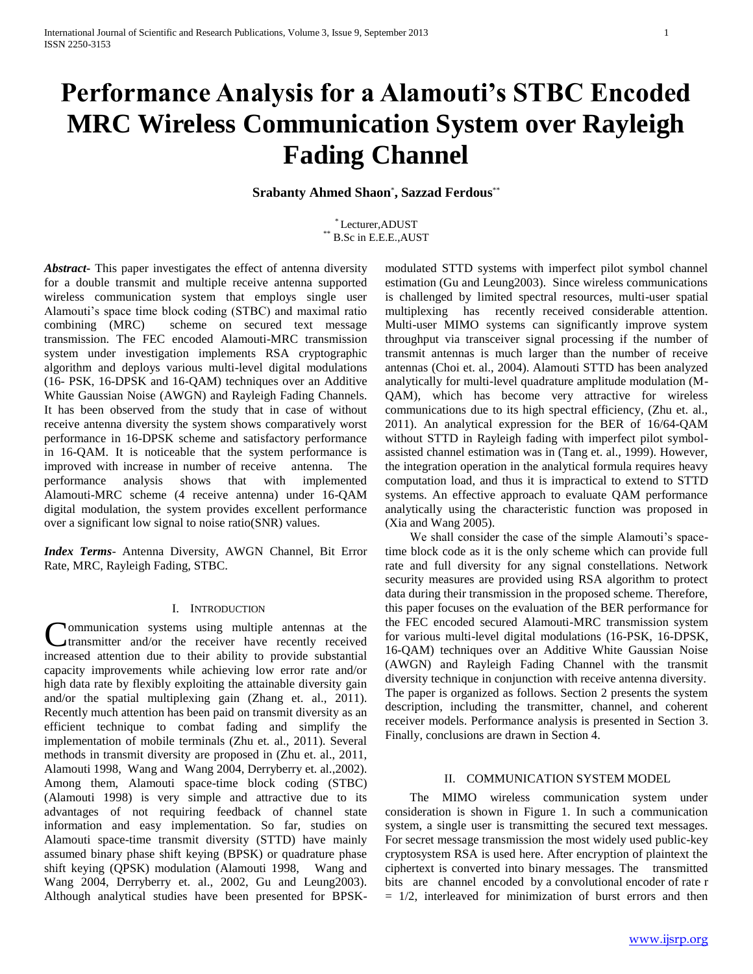# **Performance Analysis for a Alamouti's STBC Encoded MRC Wireless Communication System over Rayleigh Fading Channel**

# **Srabanty Ahmed Shaon**\* **, Sazzad Ferdous**\*\*

\* Lecturer,ADUST \*\* B.Sc in E.E.E.,AUST

*Abstract***-** This paper investigates the effect of antenna diversity for a double transmit and multiple receive antenna supported wireless communication system that employs single user Alamouti's space time block coding (STBC) and maximal ratio combining (MRC) scheme on secured text message transmission. The FEC encoded Alamouti-MRC transmission system under investigation implements RSA cryptographic algorithm and deploys various multi-level digital modulations (16- PSK, 16-DPSK and 16-QAM) techniques over an Additive White Gaussian Noise (AWGN) and Rayleigh Fading Channels. It has been observed from the study that in case of without receive antenna diversity the system shows comparatively worst performance in 16-DPSK scheme and satisfactory performance in 16-QAM. It is noticeable that the system performance is improved with increase in number of receive antenna. The performance analysis shows that with implemented Alamouti-MRC scheme (4 receive antenna) under 16-QAM digital modulation, the system provides excellent performance over a significant low signal to noise ratio(SNR) values.

*Index Terms*- Antenna Diversity, AWGN Channel, Bit Error Rate, MRC, Rayleigh Fading, STBC.

## I. INTRODUCTION

ommunication systems using multiple antennas at the transmitter and/or the receiver have recently received **Communication** systems using multiple antennas at the transmitter and/or the receiver have recently received increased attention due to their ability to provide substantial capacity improvements while achieving low error rate and/or high data rate by flexibly exploiting the attainable diversity gain and/or the spatial multiplexing gain (Zhang et. al., 2011). Recently much attention has been paid on transmit diversity as an efficient technique to combat fading and simplify the implementation of mobile terminals (Zhu et. al., 2011). Several methods in transmit diversity are proposed in (Zhu et. al., 2011, Alamouti 1998, Wang and Wang 2004, Derryberry et. al.,2002). Among them, Alamouti space-time block coding (STBC) (Alamouti 1998) is very simple and attractive due to its advantages of not requiring feedback of channel state information and easy implementation. So far, studies on Alamouti space-time transmit diversity (STTD) have mainly assumed binary phase shift keying (BPSK) or quadrature phase shift keying (QPSK) modulation (Alamouti 1998, Wang and Wang 2004, Derryberry et. al., 2002, Gu and Leung2003). Although analytical studies have been presented for BPSK-

modulated STTD systems with imperfect pilot symbol channel estimation (Gu and Leung2003). Since wireless communications is challenged by limited spectral resources, multi-user spatial multiplexing has recently received considerable attention. Multi-user MIMO systems can significantly improve system throughput via transceiver signal processing if the number of transmit antennas is much larger than the number of receive antennas (Choi et. al., 2004). Alamouti STTD has been analyzed analytically for multi-level quadrature amplitude modulation (M-QAM), which has become very attractive for wireless communications due to its high spectral efficiency, (Zhu et. al., 2011). An analytical expression for the BER of 16/64-QAM without STTD in Rayleigh fading with imperfect pilot symbolassisted channel estimation was in (Tang et. al., 1999). However, the integration operation in the analytical formula requires heavy computation load, and thus it is impractical to extend to STTD systems. An effective approach to evaluate QAM performance analytically using the characteristic function was proposed in (Xia and Wang 2005).

 We shall consider the case of the simple Alamouti's spacetime block code as it is the only scheme which can provide full rate and full diversity for any signal constellations. Network security measures are provided using RSA algorithm to protect data during their transmission in the proposed scheme. Therefore, this paper focuses on the evaluation of the BER performance for the FEC encoded secured Alamouti-MRC transmission system for various multi-level digital modulations (16-PSK, 16-DPSK, 16-QAM) techniques over an Additive White Gaussian Noise (AWGN) and Rayleigh Fading Channel with the transmit diversity technique in conjunction with receive antenna diversity. The paper is organized as follows. Section 2 presents the system description, including the transmitter, channel, and coherent receiver models. Performance analysis is presented in Section 3. Finally, conclusions are drawn in Section 4.

## II. COMMUNICATION SYSTEM MODEL

 The MIMO wireless communication system under consideration is shown in Figure 1. In such a communication system, a single user is transmitting the secured text messages. For secret message transmission the most widely used public-key cryptosystem RSA is used here. After encryption of plaintext the ciphertext is converted into binary messages. The transmitted bits are channel encoded by a convolutional encoder of rate r  $= 1/2$ , interleaved for minimization of burst errors and then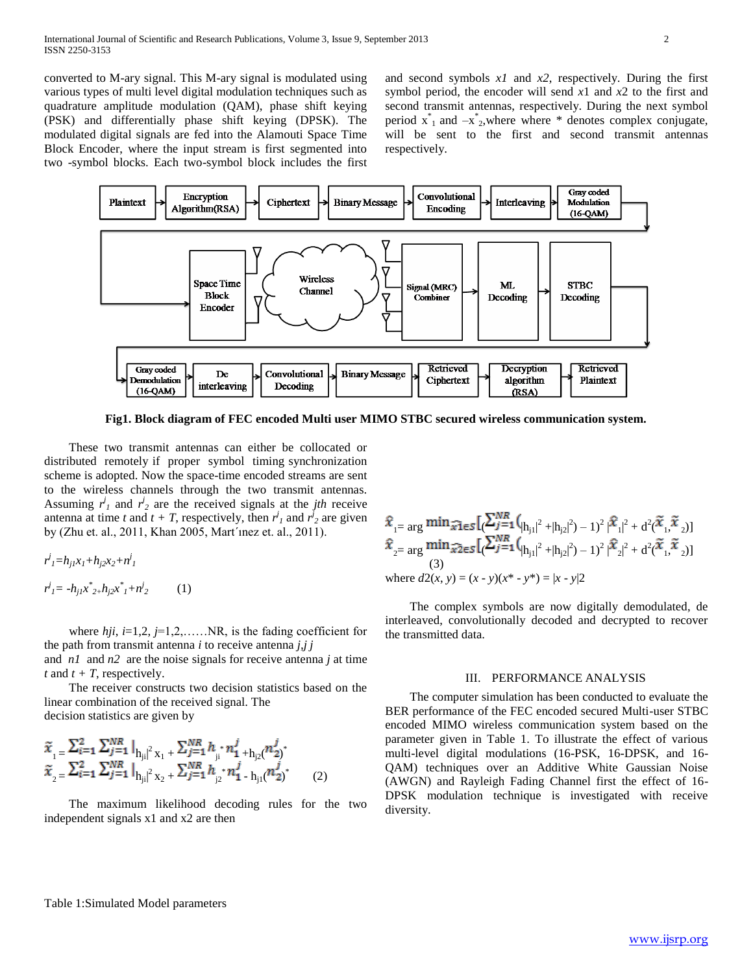converted to M-ary signal. This M-ary signal is modulated using various types of multi level digital modulation techniques such as quadrature amplitude modulation (QAM), phase shift keying (PSK) and differentially phase shift keying (DPSK). The modulated digital signals are fed into the Alamouti Space Time Block Encoder, where the input stream is first segmented into two -symbol blocks. Each two-symbol block includes the first

and second symbols *x1* and *x2*, respectively. During the first symbol period, the encoder will send *x*1 and *x*2 to the first and second transmit antennas, respectively. During the next symbol period  $x^*$ <sub>1</sub> and  $-x^*$ <sub>2</sub>, where where \* denotes complex conjugate, will be sent to the first and second transmit antennas respectively.



**Fig1. Block diagram of FEC encoded Multi user MIMO STBC secured wireless communication system.**

 These two transmit antennas can either be collocated or distributed remotely if proper symbol timing synchronization scheme is adopted. Now the space-time encoded streams are sent to the wireless channels through the two transmit antennas. Assuming  $r^j$  and  $r^j$  are the received signals at the *jth* receive antenna at time *t* and  $t + T$ , respectively, then  $r^j$  and  $r^j$  are given by (Zhu et. al., 2011, Khan 2005, Mart´ınez et. al., 2011).

 $r^j$ <sub>*I*</sub>= $h_{j1}x_1 + h_{j2}x_2 + n^j$ <sub>*I*</sub> *r*<sup>j</sup><sub>1</sub>= -h<sub>j1</sub>x<sup>\*</sup><sub>2+</sub>*h<sub>j2</sub>x*<sup>\*</sup><sub>1</sub>+n<sup>j</sup> *<sup>2</sup>* (1)

 where *hji*, *i*=1,2, *j*=1,2,……NR, is the fading coefficient for the path from transmit antenna *i* to receive antenna *j,j j*

and *n1* and *n2* are the noise signals for receive antenna *j* at time *t* and  $t + T$ , respectively.

 The receiver constructs two decision statistics based on the linear combination of the received signal. The decision statistics are given by

$$
\begin{aligned}\n\tilde{x}_{1} &= \frac{\sum_{i=1}^{2} \sum_{j=1}^{NR} |_{h_{ji}|^{2} x_{1} + \sum_{j=1}^{NR} h_{ji} \cdot n_{1}^{j} + h_{j2}(n_{2}^{j})^{*}}{\tilde{x}_{2} &= \frac{\sum_{i=1}^{2} \sum_{j=1}^{NR} |_{h_{ji}|^{2} x_{2} + \sum_{j=1}^{NR} h_{j2} \cdot n_{1}^{j} - h_{j1}(n_{2}^{j})^{*}}{n_{2}^{j} + n_{j}^{j} + h_{j2}(n_{2}^{j})^{*}}\n\end{aligned}
$$

 The maximum likelihood decoding rules for the two independent signals x1 and x2 are then

$$
\hat{x}_{1} = \arg \min \widehat{x1} \in S \left[ \sum_{j=1}^{NR} (|h_{j1}|^2 + |h_{j2}|^2) - 1)^2 |\widehat{x}_1|^2 + d^2(\widetilde{x}_1, \widetilde{x}_2) \right]
$$
  
\n
$$
\hat{x}_{2} = \arg \min \widehat{x2} \in S \left[ \sum_{j=1}^{NR} (|h_{j1}|^2 + |h_{j2}|^2) - 1)^2 |\widehat{x}_2|^2 + d^2(\widetilde{x}_1, \widetilde{x}_2) \right]
$$
  
\n(3)  
\nwhere  $d^2(x, y) = (x - y)(x^* - y^*) = |x - y|^2$ 

 The complex symbols are now digitally demodulated, de interleaved, convolutionally decoded and decrypted to recover the transmitted data.

#### III. PERFORMANCE ANALYSIS

 The computer simulation has been conducted to evaluate the BER performance of the FEC encoded secured Multi-user STBC encoded MIMO wireless communication system based on the parameter given in Table 1. To illustrate the effect of various multi-level digital modulations (16-PSK, 16-DPSK, and 16- QAM) techniques over an Additive White Gaussian Noise (AWGN) and Rayleigh Fading Channel first the effect of 16- DPSK modulation technique is investigated with receive diversity.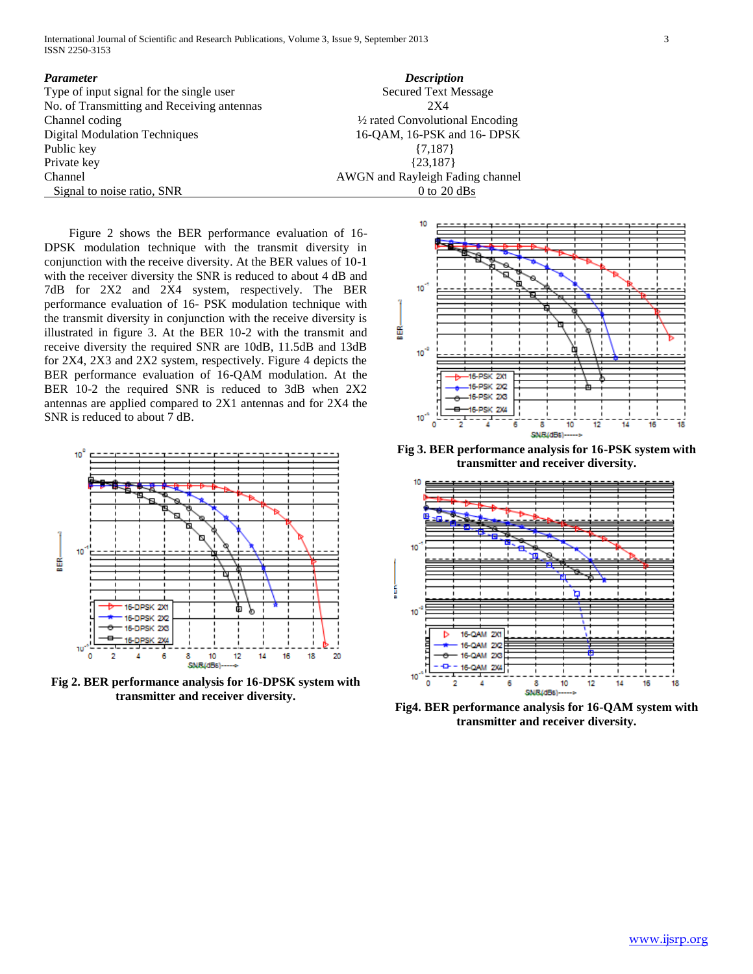International Journal of Scientific and Research Publications, Volume 3, Issue 9, September 2013 3 ISSN 2250-3153

| Parameter                                  | <b>Description</b>                         |
|--------------------------------------------|--------------------------------------------|
| Type of input signal for the single user   | <b>Secured Text Message</b>                |
| No. of Transmitting and Receiving antennas | 2X4                                        |
| Channel coding                             | $\frac{1}{2}$ rated Convolutional Encoding |
| <b>Digital Modulation Techniques</b>       | 16-QAM, 16-PSK and 16- DPSK                |
| Public key                                 | $\{7,187\}$                                |
| Private key                                | ${23,187}$                                 |
| Channel                                    | AWGN and Rayleigh Fading channel           |
| Signal to noise ratio, SNR                 | 0 to $20$ dBs                              |

 Figure 2 shows the BER performance evaluation of 16- DPSK modulation technique with the transmit diversity in conjunction with the receive diversity. At the BER values of 10-1 with the receiver diversity the SNR is reduced to about 4 dB and 7dB for 2X2 and 2X4 system, respectively. The BER performance evaluation of 16- PSK modulation technique with the transmit diversity in conjunction with the receive diversity is illustrated in figure 3. At the BER 10-2 with the transmit and receive diversity the required SNR are 10dB, 11.5dB and 13dB for 2X4, 2X3 and 2X2 system, respectively. Figure 4 depicts the BER performance evaluation of 16-QAM modulation. At the BER 10-2 the required SNR is reduced to 3dB when 2X2 antennas are applied compared to 2X1 antennas and for 2X4 the SNR is reduced to about 7 dB.



**Fig 2. BER performance analysis for 16-DPSK system with transmitter and receiver diversity.**



**Fig 3. BER performance analysis for 16-PSK system with transmitter and receiver diversity.**



**Fig4. BER performance analysis for 16-QAM system with transmitter and receiver diversity.**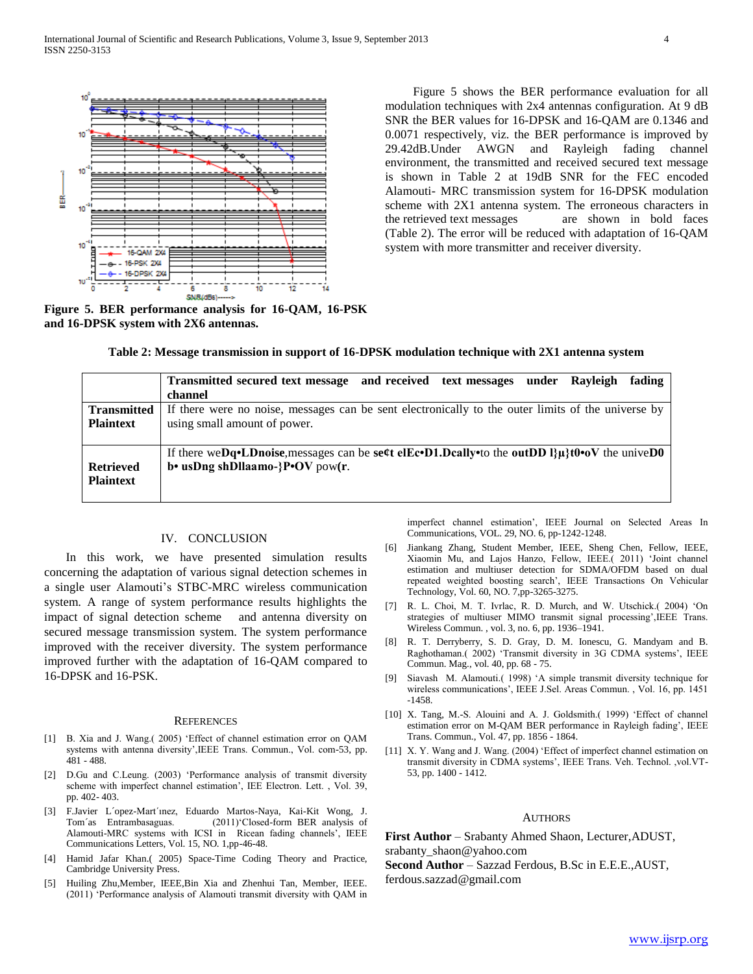

**Figure 5. BER performance analysis for 16-QAM, 16-PSK and 16-DPSK system with 2X6 antennas.**

 Figure 5 shows the BER performance evaluation for all modulation techniques with 2x4 antennas configuration. At 9 dB SNR the BER values for 16-DPSK and 16-QAM are 0.1346 and 0.0071 respectively, viz. the BER performance is improved by 29.42dB.Under AWGN and Rayleigh fading channel environment, the transmitted and received secured text message is shown in Table 2 at 19dB SNR for the FEC encoded Alamouti- MRC transmission system for 16-DPSK modulation scheme with 2X1 antenna system. The erroneous characters in the retrieved text messages are shown in bold faces (Table 2). The error will be reduced with adaptation of 16-QAM system with more transmitter and receiver diversity.

**Table 2: Message transmission in support of 16-DPSK modulation technique with 2X1 antenna system**

|                    | Transmitted secured text message and received text messages<br>fading<br>under<br>Rayleigh<br>channel                   |
|--------------------|-------------------------------------------------------------------------------------------------------------------------|
| <b>Transmitted</b> | If there were no noise, messages can be sent electronically to the outer limits of the universe by                      |
| <b>Plaintext</b>   | using small amount of power.                                                                                            |
| <b>Retrieved</b>   | If there we Dq. LD noise, messages can be seet elecol. Dcally to the out DD $\mathbb{R}^d$ to $\mathbf{O}$ the unive D0 |
| <b>Plaintext</b>   | $\mathbf{b}$ usDng shDllaamo-}P $\mathbf{O}V$ pow(r.                                                                    |

#### IV. CONCLUSION

 In this work, we have presented simulation results concerning the adaptation of various signal detection schemes in a single user Alamouti's STBC-MRC wireless communication system. A range of system performance results highlights the impact of signal detection scheme and antenna diversity on secured message transmission system. The system performance improved with the receiver diversity. The system performance improved further with the adaptation of 16-QAM compared to 16-DPSK and 16-PSK.

#### **REFERENCES**

- [1] B. Xia and J. Wang.( 2005) 'Effect of channel estimation error on QAM systems with antenna diversity',IEEE Trans. Commun., Vol. com-53, pp. 481 - 488.
- [2] D.Gu and C.Leung. (2003) 'Performance analysis of transmit diversity scheme with imperfect channel estimation', IEE Electron. Lett. , Vol. 39, pp. 402- 403.
- [3] F.Javier L´opez-Mart´ınez, Eduardo Martos-Naya, Kai-Kit Wong, J. Tom´as Entrambasaguas. (2011)'Closed-form BER analysis of Alamouti-MRC systems with ICSI in Ricean fading channels', IEEE Communications Letters, Vol. 15, NO. 1,pp-46-48.
- [4] Hamid Jafar Khan.( 2005) Space-Time Coding Theory and Practice, Cambridge University Press.
- [5] Huiling Zhu,Member, IEEE,Bin Xia and Zhenhui Tan, Member, IEEE. (2011) 'Performance analysis of Alamouti transmit diversity with QAM in

imperfect channel estimation', IEEE Journal on Selected Areas In Communications, VOL. 29, NO. 6, pp-1242-1248.

- [6] Jiankang Zhang, Student Member, IEEE, Sheng Chen, Fellow, IEEE, Xiaomin Mu, and Lajos Hanzo, Fellow, IEEE.( 2011) 'Joint channel estimation and multiuser detection for SDMA/OFDM based on dual repeated weighted boosting search', IEEE Transactions On Vehicular Technology, Vol. 60, NO. 7,pp-3265-3275.
- R. L. Choi, M. T. Ivrlac, R. D. Murch, and W. Utschick.( 2004) 'On strategies of multiuser MIMO transmit signal processing',IEEE Trans. Wireless Commun. , vol. 3, no. 6, pp. 1936–1941.
- [8] R. T. Derryberry, S. D. Gray, D. M. Ionescu, G. Mandyam and B. Raghothaman.( 2002) 'Transmit diversity in 3G CDMA systems', IEEE Commun. Mag., vol. 40, pp. 68 - 75.
- [9] Siavash M. Alamouti.( 1998) 'A simple transmit diversity technique for wireless communications', IEEE J.Sel. Areas Commun. , Vol. 16, pp. 1451 -1458.
- [10] X. Tang, M.-S. Alouini and A. J. Goldsmith.(1999) 'Effect of channel estimation error on M-QAM BER performance in Rayleigh fading', IEEE Trans. Commun., Vol. 47, pp. 1856 - 1864.
- [11] X. Y. Wang and J. Wang. (2004) 'Effect of imperfect channel estimation on transmit diversity in CDMA systems', IEEE Trans. Veh. Technol. ,vol.VT-53, pp. 1400 - 1412.

### **AUTHORS**

**First Author** – Srabanty Ahmed Shaon, Lecturer,ADUST, srabanty\_shaon@yahoo.com **Second Author** – Sazzad Ferdous, B.Sc in E.E.E.,AUST, ferdous.sazzad@gmail.com